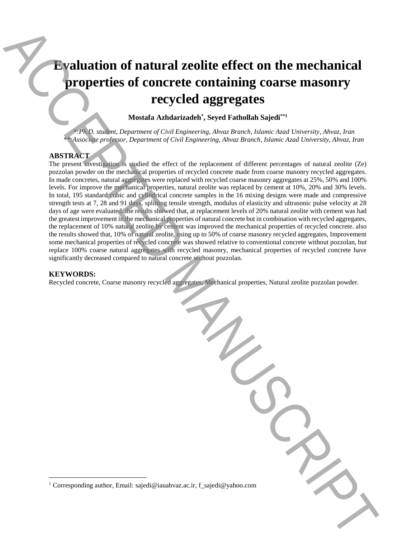# **Evaluation of natural zeolite effect on the mechanical properties of concrete containing coarse masonry recycled aggregates**

**Mostafa Azhdarizadeh\* , Seyed Fathollah Sajedi\*\*1**

*\*:Ph.D. student, Department of Civil Engineering, Ahvaz Branch, Islamic Azad University, Ahvaz, Iran \*\*:Associate professor, Department of Civil Engineering, Ahvaz Branch, Islamic Azad University, Ahvaz, Iran*

## **ABSTRACT**

The present investigation is studied the effect of the replacement of different percentages of natural zeolite (Ze) pozzolan powder on the mechanical properties of recycled concrete made from coarse masonry recycled aggregates. In made concretes, natural aggregates were replaced with recycled coarse masonry aggregates at 25%, 50% and 100% levels. For improve the mechanical properties, natural zeolite was replaced by cement at 10%, 20% and 30% levels. In total, 195 standard cubic and cylindrical concrete samples in the 16 mixing designs were made and compressive strength tests at 7, 28 and 91 days, splitting tensile strength, modulus of elasticity and ultrasonic pulse velocity at 28 days of age were evaluated. the results showed that, at replacement levels of 20% natural zeolite with cement was had the greatest improvement in the mechanical properties of natural concrete but in combination with recycled aggregates, the replacement of 10% natural zeolite by cement was improved the mechanical properties of recycled concrete. also the results showed that, 10% of natural zeolite, using up to 50% of coarse masonry recycled aggregates, Improvement some mechanical properties of recycled concrete was showed relative to conventional concrete without pozzolan, but replace 100% coarse natural aggregates with recycled masonry, mechanical properties of recycled concrete have significantly decreased compared to natural concrete without pozzolan. **Example and the corresponding authorities of concrete containing coarse mass<br>only recepted aggregates the amount of corresponding and the corresponding and the corresponding to the compact of containing and the compact o** 

## **KEYWORDS:**

 $\overline{\phantom{a}}$ 

Recycled concrete, Coarse masonry recycled aggregates, Mechanical properties, Natural zeolite pozzolan powder.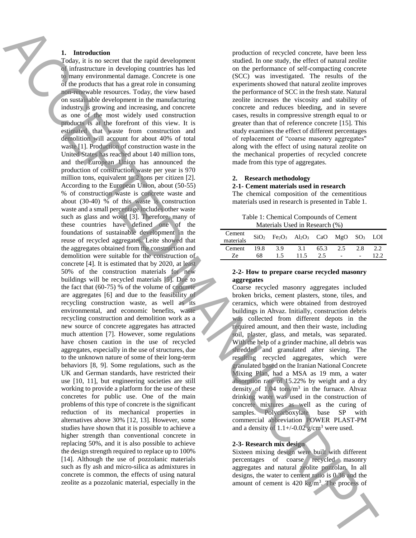## **1. Introduction**

Today, it is no secret that the rapid development of infrastructure in developing countries has led to many environmental damage. Concrete is one of the products that has a great role in consuming non-renewable resources. Today, the view based on sustainable development in the manufacturing industry is growing and increasing, and concrete as one of the most widely used construction products is at the forefront of this view. It is estimated that waste from construction and demolition will account for about 40% of total waste [1]. Production of construction waste in the United States has reached about 140 million tons, and the European Union has announced the production of construction waste per year is 970 million tons, equivalent to 2 tons per citizen [2]. According to the European Union, about (50-55) % of construction waste is concrete waste and about (30-40) % of this waste is construction waste and a small percentage includes other waste such as glass and wood [3]. Therefore, many of these countries have defined one of the foundations of sustainable development in the reuse of recycled aggregates. Leite showed that the aggregates obtained from the construction and demolition were suitable for the construction of concrete [4]. It is estimated that by 2020, at least 50% of the construction materials for new buildings will be recycled materials [5]. Due to the fact that (60-75) % of the volume of concrete are aggregates [6] and due to the feasibility of recycling construction waste, as well as its environmental, and economic benefits, waste recycling construction and demolition work as a new source of concrete aggregates has attracted much attention [7]. However, some regulations have chosen caution in the use of recycled aggregates, especially in the use of structures, due to the unknown nature of some of their long-term behaviors [8, 9]. Some regulations, such as the UK and German standards, have restricted their use [10, 11], but engineering societies are still working to provide a platform for the use of these concretes for public use. One of the main problems of this type of concrete is the significant reduction of its mechanical properties in alternatives above 30% [12, 13]. However, some studies have shown that it is possible to achieve a higher strength than conventional concrete in replacing 50%, and it is also possible to achieve the design strength required to replace up to 100% [14]. Although the use of pozzolanic materials such as fly ash and micro-silica as admixtures in concrete is common, the effects of using natural zeolite as a pozzolanic material, especially in the **1.** Introduction that the procedure of the procedure of the process of ACCE (see the procedure of ACCE) and the process of ACCE (see the second and the process of ACCE (see the second and the process of ACCE (see the sec

production of recycled concrete, have been less studied. In one study, the effect of natural zeolite on the performance of self-compacting concrete (SCC) was investigated. The results of the experiments showed that natural zeolite improves the performance of SCC in the fresh state. Natural zeolite increases the viscosity and stability of concrete and reduces bleeding, and in severe cases, results in compressive strength equal to or greater than that of reference concrete [15]. This study examines the effect of different percentages of replacement of "coarse masonry aggregates" along with the effect of using natural zeolite on the mechanical properties of recycled concrete made from this type of aggregates.

#### **2. Research methodology**

#### **2-1- Cement materials used in research**

The chemical composition of the cementitious materials used in research is presented in Table 1.

Table 1: Chemical Compounds of Cement Materials Used in Research (%)

| Cement<br>materials |      | SiO <sub>2</sub> Fe <sub>2</sub> O <sub>3</sub> Al <sub>2</sub> O <sub>3</sub> CaO MgO SO <sub>3</sub> LOI |      |      |                          |     |     |
|---------------------|------|------------------------------------------------------------------------------------------------------------|------|------|--------------------------|-----|-----|
| Cement              | 19.8 | 3.9                                                                                                        | 3.1  | 65.3 | 2.5                      | 2.8 | 2.2 |
| Ze                  | 68   | 15                                                                                                         | 11.5 | 2.5  | $\overline{\phantom{a}}$ |     |     |

### **2-2- How to prepare coarse recycled masonry aggregates**

Coarse recycled masonry aggregates included broken bricks, cement plasters, stone, tiles, and ceramics, which were obtained from destroyed buildings in Ahvaz. Initially, construction debris was collected from different depots in the required amount, and then their waste, including soil, plaster, glass, and metals, was separated. With the help of a grinder machine, all debris was shredded and granulated after sieving. The resulting recycled aggregates, which were granulated based on the Iranian National Concrete Mixing Plan, had a MSA as 19 mm, a water absorption rate of 15.22% by weight and a dry density of  $1.04$  tons/m<sup>3</sup> in the furnace. Ahvaz drinking water was used in the construction of concrete mixtures as well as the curing of samples. Polycarboxylate base SP with Polycarboxylate base SP with commercial abbreviation POWER PLAST-PM and a density of  $1.1+\frac{1}{0.02}$  g/cm<sup>3</sup> were used.

### **2-3- Research mix design**

Sixteen mixing design were built with different percentages of coarse recycled masonry aggregates and natural zeolite pozzolan. In all designs, the water to cement ratio is 0.36 and the amount of cement is  $420 \text{ kg/m}^3$ . The process of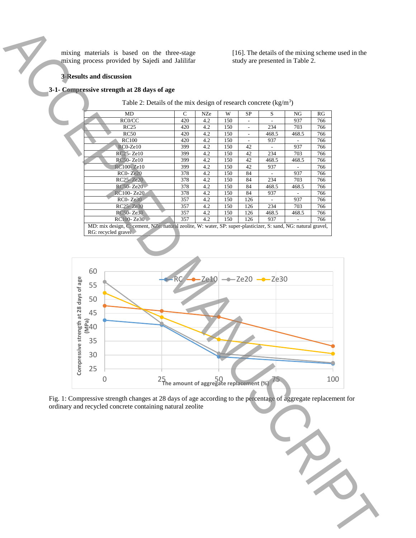mixing materials is based on the three-stage mixing process provided by Sajedi and Jalilifar [16]. The details of the mixing scheme used in the study are presented in Table 2.

## **3-Results and discussion**

# **3-1- Compressive strength at 28 days of age**

Table 2: Details of the mix design of research concrete  $\frac{kg}{m^3}$ 

| MD                                                                                                                                    | C   | <b>NZe</b> | W   | <b>SP</b> | S     | NG    | RG  |  |  |  |
|---------------------------------------------------------------------------------------------------------------------------------------|-----|------------|-----|-----------|-------|-------|-----|--|--|--|
| RC0/CC                                                                                                                                | 420 | 4.2        | 150 |           |       | 937   | 766 |  |  |  |
| RC25                                                                                                                                  | 420 | 4.2        | 150 | ۰         | 234   | 703   | 766 |  |  |  |
| RC50                                                                                                                                  | 420 | 4.2        | 150 |           | 468.5 | 468.5 | 766 |  |  |  |
| <b>RC100</b>                                                                                                                          | 420 | 4.2        | 150 |           | 937   |       | 766 |  |  |  |
| $RC0-Ze10$                                                                                                                            | 399 | 4.2        | 150 | 42        |       | 937   | 766 |  |  |  |
| RC25-Ze10                                                                                                                             | 399 | 4.2        | 150 | 42        | 234   | 703   | 766 |  |  |  |
| RC50-Ze10                                                                                                                             | 399 | 4.2        | 150 | 42        | 468.5 | 468.5 | 766 |  |  |  |
| RC100-Ze10                                                                                                                            | 399 | 4.2        | 150 | 42        | 937   |       | 766 |  |  |  |
| $RC0 - Ze20$                                                                                                                          | 378 | 4.2        | 150 | 84        |       | 937   | 766 |  |  |  |
| RC25-Ze20                                                                                                                             | 378 | 4.2        | 150 | 84        | 234   | 703   | 766 |  |  |  |
| RC50-Ze20                                                                                                                             | 378 | 4.2        | 150 | 84        | 468.5 | 468.5 | 766 |  |  |  |
| RC100-Ze20                                                                                                                            | 378 | 4.2        | 150 | 84        | 937   |       | 766 |  |  |  |
| $RC0 - Ze30$                                                                                                                          | 357 | 4.2        | 150 | 126       |       | 937   | 766 |  |  |  |
| RC25-Ze30                                                                                                                             | 357 | 4.2        | 150 | 126       | 234   | 703   | 766 |  |  |  |
| RC50-Ze30                                                                                                                             | 357 | 4.2        | 150 | 126       | 468.5 | 468.5 | 766 |  |  |  |
| RC100-Ze30                                                                                                                            | 357 | 4.2        | 150 | 126       | 937   |       | 766 |  |  |  |
| MD: mix design, C. cement, NZe: natural zeolite, W: water, SP: super-plasticizer, S: sand, NG: natural gravel,<br>RG: recycled gravel |     |            |     |           |       |       |     |  |  |  |



Fig. 1: Compressive strength changes at 28 days of age according to the percentage of aggregate replacement for ordinary and recycled concrete containing natural zeolite